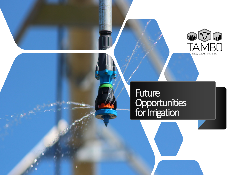

#### TOT IMPRETION **Future Opportunities** for Irrigation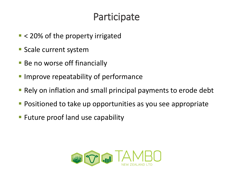## **Participate**

- < 20% of the property irrigated
- **Scale current system**
- Be no worse off financially
- **IMPROVE repeatability of performance**
- **Rely on inflation and small principal payments to erode debt**
- **Positioned to take up opportunities as you see appropriate**
- **Future proof land use capability**

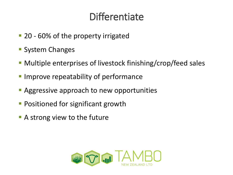# **Differentiate**

- 20 60% of the property irrigated
- **System Changes**
- Multiple enterprises of livestock finishing/crop/feed sales
- **Improve repeatability of performance**
- **Aggressive approach to new opportunities**
- **Positioned for significant growth**
- **A** strong view to the future

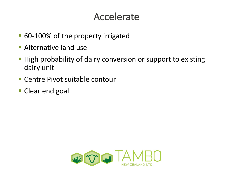#### Accelerate

- 60-100% of the property irrigated
- **Alternative land use**
- **High probability of dairy conversion or support to existing** dairy unit
- Centre Pivot suitable contour
- **Clear end goal**

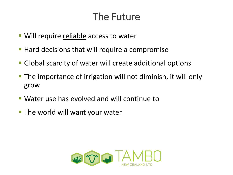### The Future

- **Will require reliable access to water**
- **Hard decisions that will require a compromise**
- Global scarcity of water will create additional options
- The importance of irrigation will not diminish, it will only grow
- Water use has evolved and will continue to
- **The world will want your water**

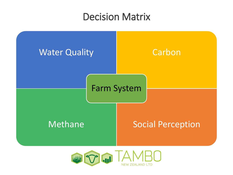#### Decision Matrix



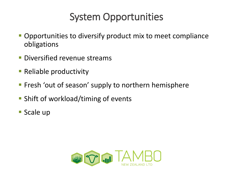## System Opportunities

- **Opportunities to diversify product mix to meet compliance** obligations
- **Diversified revenue streams**
- **Reliable productivity**
- **Filter Fresh 'out of season' supply to northern hemisphere**
- **Shift of workload/timing of events**
- **Scale up**

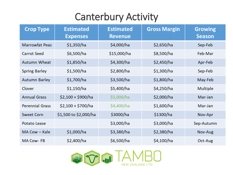# Canterbury Activity

| <b>Crop Type</b>       | <b>Estimated</b><br><b>Expenses</b> | <b>Estimated</b><br><b>Revenue</b> | <b>Gross Margin</b> | <b>Growing</b><br><b>Season</b> |
|------------------------|-------------------------------------|------------------------------------|---------------------|---------------------------------|
| <b>Marrowfat Peas</b>  | \$1,350/ha                          | \$4,000/ha                         | \$2,650/ha          | Sep-Feb                         |
| Carrot Seed            | \$6,500/ha                          | \$15,000/ha                        | \$8,500/ha          | Feb-Mar                         |
| Autumn Wheat           | \$1,850/ha                          | \$4,300/ha                         | \$2,450/ha          | Apr-Feb                         |
| <b>Spring Barley</b>   | \$1,500/ha                          | \$2,800/ha                         | \$1,300/ha          | Sep-Feb                         |
| <b>Autumn Barley</b>   | \$1,700/ha                          | \$3,500/ha                         | \$1,800/ha          | May-Feb                         |
| Clover                 | \$1,150/ha                          | \$5,400/ha                         | \$4,250/ha          | Multiple                        |
| <b>Annual Grass</b>    | $$2,100 + $900/ha$                  | \$5,000/ha                         | \$2,000/ha          | Mar-Jan                         |
| <b>Perennial Grass</b> | $$2,100 + $700/ha$                  | \$4,400/ha                         | \$1,600/ha          | Mar-Jan                         |
| <b>Sweet Corn</b>      | \$1,500 to \$2,000/ha               | \$3000/ha                          | \$1300/ha           | Nov-Apr                         |
| Potato Lease           |                                     | \$3,000/ha                         | \$3,000/ha          | Sep-Autumn                      |
| MA Cow – Kale          | \$1,000/ha                          | \$3,380/ha                         | \$2,380/ha          | Nov-Aug                         |
| MA Cow-FB              | \$2,400/ha                          | \$6,500/ha                         | \$4,100/ha          | Oct-Aug                         |

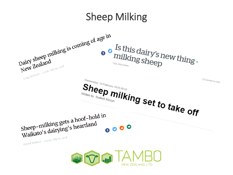## Sheep Milking

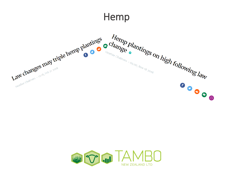#### Hemp